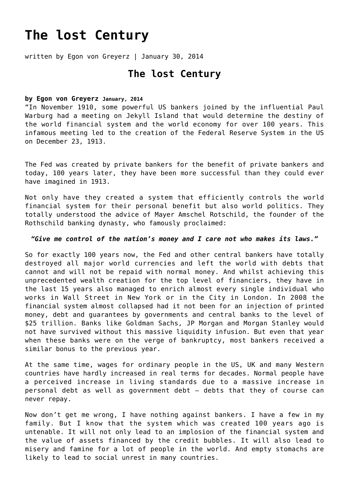# **[The lost Century](https://goldswitzerland.com/the-lost-century/)**

written by Egon von Greyerz | January 30, 2014

## **The lost Century**

#### **by Egon von Greyerz January, 2014**

"In November 1910, some powerful US bankers joined by the influential Paul Warburg had a meeting on Jekyll Island that would determine the destiny of the world financial system and the world economy for over 100 years. This infamous meeting led to the creation of the Federal Reserve System in the US on December 23, 1913.

The Fed was created by private bankers for the benefit of private bankers and today, 100 years later, they have been more successful than they could ever have imagined in 1913.

Not only have they created a system that efficiently controls the world financial system for their personal benefit but also world politics. They totally understood the advice of Mayer Amschel Rotschild, the founder of the Rothschild banking dynasty, who famously proclaimed:

#### *"Give me control of the nation's money and I care not who makes its laws."*

So for exactly 100 years now, the Fed and other central bankers have totally destroyed all major world currencies and left the world with debts that cannot and will not be repaid with normal money. And whilst achieving this unprecedented wealth creation for the top level of financiers, they have in the last 15 years also managed to enrich almost every single individual who works in Wall Street in New York or in the City in London. In 2008 the financial system almost collapsed had it not been for an injection of printed money, debt and guarantees by governments and central banks to the level of \$25 trillion. Banks like Goldman Sachs, JP Morgan and Morgan Stanley would not have survived without this massive liquidity infusion. But even that year when these banks were on the verge of bankruptcy, most bankers received a similar bonus to the previous year.

At the same time, wages for ordinary people in the US, UK and many Western countries have hardly increased in real terms for decades. Normal people have a perceived increase in living standards due to a massive increase in personal debt as well as government debt – debts that they of course can never repay.

Now don't get me wrong, I have nothing against bankers. I have a few in my family. But I know that the system which was created 100 years ago is untenable. It will not only lead to an implosion of the financial system and the value of assets financed by the credit bubbles. It will also lead to misery and famine for a lot of people in the world. And empty stomachs are likely to lead to social unrest in many countries.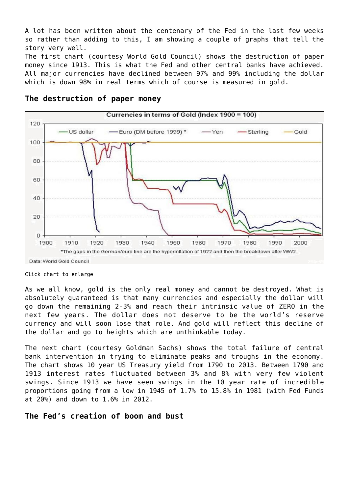A lot has been written about the centenary of the Fed in the last few weeks so rather than adding to this, I am showing a couple of graphs that tell the story very well.

The first chart (courtesy World Gold Council) shows the destruction of paper money since 1913. This is what the Fed and other central banks have achieved. All major currencies have declined between 97% and 99% including the dollar which is down 98% in real terms which of course is measured in gold.



#### **The destruction of paper money**

Click chart to enlarge

As we all know, gold is the only real money and cannot be destroyed. What is absolutely guaranteed is that many currencies and especially the dollar will go down the remaining 2-3% and reach their intrinsic value of ZERO in the next few years. The dollar does not deserve to be the world's reserve currency and will soon lose that role. And gold will reflect this decline of the dollar and go to heights which are unthinkable today.

The next chart (courtesy Goldman Sachs) shows the total failure of central bank intervention in trying to eliminate peaks and troughs in the economy. The chart shows 10 year US Treasury yield from 1790 to 2013. Between 1790 and 1913 interest rates fluctuated between 3% and 8% with very few violent swings. Since 1913 we have seen swings in the 10 year rate of incredible proportions going from a low in 1945 of 1.7% to 15.8% in 1981 (with Fed Funds at 20%) and down to 1.6% in 2012.

### **The Fed's creation of boom and bust**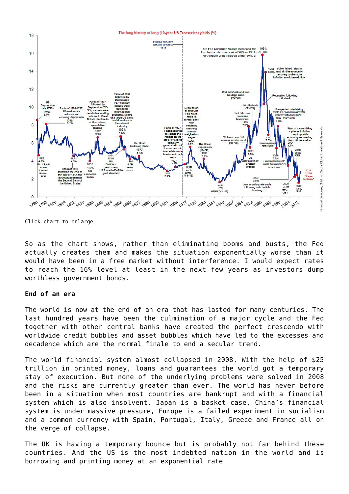

Click chart to enlarge

So as the chart shows, rather than eliminating booms and busts, the Fed actually creates them and makes the situation exponentially worse than it would have been in a free market without interference. I would expect rates to reach the 16% level at least in the next few years as investors dump worthless government bonds.

#### **End of an era**

The world is now at the end of an era that has lasted for many centuries. The last hundred years have been the culmination of a major cycle and the Fed together with other central banks have created the perfect crescendo with worldwide credit bubbles and asset bubbles which have led to the excesses and decadence which are the normal finale to end a secular trend.

The world financial system almost collapsed in 2008. With the help of \$25 trillion in printed money, loans and guarantees the world got a temporary stay of execution. But none of the underlying problems were solved in 2008 and the risks are currently greater than ever. The world has never before been in a situation when most countries are bankrupt and with a financial system which is also insolvent. Japan is a basket case, China's financial system is under massive pressure, Europe is a failed experiment in socialism and a common currency with Spain, Portugal, Italy, Greece and France all on the verge of collapse.

The UK is having a temporary bounce but is probably not far behind these countries. And the US is the most indebted nation in the world and is borrowing and printing money at an exponential rate